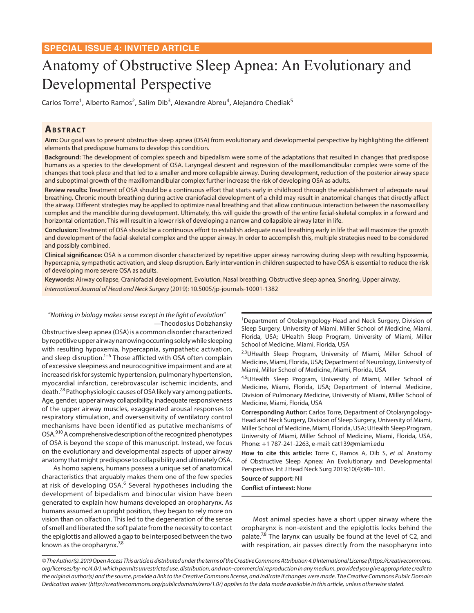# Anatomy of Obstructive Sleep Apnea: An Evolutionary and Developmental Perspective

Carlos Torre<sup>1</sup>, Alberto Ramos<sup>2</sup>, Salim Dib<sup>3</sup>, Alexandre Abreu<sup>4</sup>, Alejandro Chediak<sup>5</sup>

### **ABSTRACT**

**Aim:** Our goal was to present obstructive sleep apnea (OSA) from evolutionary and developmental perspective by highlighting the different elements that predispose humans to develop this condition.

**Background:** The development of complex speech and bipedalism were some of the adaptations that resulted in changes that predispose humans as a species to the development of OSA. Laryngeal descent and regression of the maxillomandibular complex were some of the changes that took place and that led to a smaller and more collapsible airway. During development, reduction of the posterior airway space and suboptimal growth of the maxillomandibular complex further increase the risk of developing OSA as adults.

**Review results:** Treatment of OSA should be a continuous effort that starts early in childhood through the establishment of adequate nasal breathing. Chronic mouth breathing during active craniofacial development of a child may result in anatomical changes that directly affect the airway. Different strategies may be applied to optimize nasal breathing and that allow continuous interaction between the nasomaxillary complex and the mandible during development. Ultimately, this will guide the growth of the entire facial-skeletal complex in a forward and horizontal orientation. This will result in a lower risk of developing a narrow and collapsible airway later in life.

**Conclusion:** Treatment of OSA should be a continuous effort to establish adequate nasal breathing early in life that will maximize the growth and development of the facial-skeletal complex and the upper airway. In order to accomplish this, multiple strategies need to be considered and possibly combined.

**Clinical significance:** OSA is a common disorder characterized by repetitive upper airway narrowing during sleep with resulting hypoxemia, hypercapnia, sympathetic activation, and sleep disruption. Early intervention in children suspected to have OSA is essential to reduce the risk of developing more severe OSA as adults.

**Keywords:** Airway collapse, Craniofacial development, Evolution, Nasal breathing, Obstructive sleep apnea, Snoring, Upper airway. *International Journal of Head and Neck Surgery* (2019): 10.5005/jp-journals-10001-1382

#### "*Nothing in biology makes sense except in the light of evolution*" —Theodosius Dobzhansky

Obstructive sleep apnea (OSA) is a common disorder characterized by repetitive upper airway narrowing occurring solely while sleeping with resulting hypoxemia, hypercapnia, sympathetic activation, and sleep disruption.<sup>1–6</sup> Those afflicted with OSA often complain of excessive sleepiness and neurocognitive impairment and are at increased risk for systemic hypertension, pulmonary hypertension, myocardial infarction, cerebrovascular ischemic incidents, and death.<sup>7,8</sup> Pathophysiologic causes of OSA likely vary among patients. Age, gender, upper airway collapsibility, inadequate responsiveness of the upper airway muscles, exaggerated arousal responses to respiratory stimulation, and oversensitivity of ventilatory control mechanisms have been identified as putative mechanisms of OSA.9,10 A comprehensive description of the recognized phenotypes of OSA is beyond the scope of this manuscript. Instead, we focus on the evolutionary and developmental aspects of upper airway anatomy that might predispose to collapsibility and ultimately OSA.

As homo sapiens, humans possess a unique set of anatomical characteristics that arguably makes them one of the few species at risk of developing OSA.<sup>6</sup> Several hypotheses including the development of bipedalism and binocular vision have been generated to explain how humans developed an oropharynx. As humans assumed an upright position, they began to rely more on vision than on olfaction. This led to the degeneration of the sense of smell and liberated the soft palate from the necessity to contact the epiglottis and allowed a gap to be interposed between the two known as the oropharynx. $7,8$ 

<sup>1</sup>Department of Otolaryngology-Head and Neck Surgery, Division of Sleep Surgery, University of Miami, Miller School of Medicine, Miami, Florida, USA; UHealth Sleep Program, University of Miami, Miller School of Medicine, Miami, Florida, USA

<sup>2,3</sup>UHealth Sleep Program, University of Miami, Miller School of Medicine, Miami, Florida, USA; Department of Neurology, University of Miami, Miller School of Medicine, Miami, Florida, USA

4,5UHealth Sleep Program, University of Miami, Miller School of Medicine, Miami, Florida, USA; Department of Internal Medicine, Division of Pulmonary Medicine, University of Miami, Miller School of Medicine, Miami, Florida, USA

**Corresponding Author:** Carlos Torre, Department of Otolaryngology-Head and Neck Surgery, Division of Sleep Surgery, University of Miami, Miller School of Medicine, Miami, Florida, USA; UHealth Sleep Program, University of Miami, Miller School of Medicine, Miami, Florida, USA, Phone: +1 787-241-2263, e-mail: cat139@miami.edu

**How to cite this article:** Torre C, Ramos A, Dib S, *et al.* Anatomy of Obstructive Sleep Apnea: An Evolutionary and Developmental Perspective. Int J Head Neck Surg 2019;10(4):98–101.

#### **Source of support:** Nil

**Conflict of interest:** None

Most animal species have a short upper airway where the oropharynx is non-existent and the epiglottis locks behind the palate.<sup>7,8</sup> The larynx can usually be found at the level of C2, and with respiration, air passes directly from the nasopharynx into

*© The Author(s). 2019 Open Access This article is distributed under the terms of the Creative Commons Attribution 4.0 International License (https://creativecommons. org/licenses/by-nc/4.0/), which permits unrestricted use, distribution, and non-commercial reproduction in any medium, provided you give appropriate credit to the original author(s) and the source, provide a link to the Creative Commons license, and indicate if changes were made. The Creative Commons Public Domain Dedication waiver (http://creativecommons.org/publicdomain/zero/1.0/) applies to the data made available in this article, unless otherwise stated.*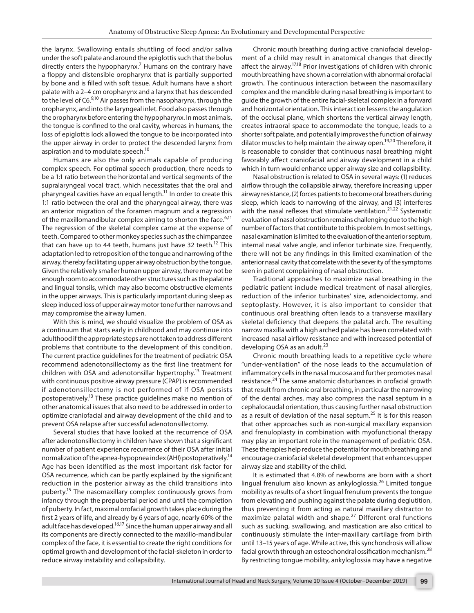the larynx. Swallowing entails shuttling of food and/or saliva under the soft palate and around the epiglottis such that the bolus directly enters the hypopharynx.<sup>7</sup> Humans on the contrary have a floppy and distensible oropharynx that is partially supported by bone and is filled with soft tissue. Adult humans have a short palate with a 2–4 cm oropharynx and a larynx that has descended to the level of C6.<sup>9,10</sup> Air passes from the nasopharynx, through the oropharynx, and into the laryngeal inlet. Food also passes through the oropharynx before entering the hypopharynx. In most animals, the tongue is confined to the oral cavity, whereas in humans, the loss of epiglottis lock allowed the tongue to be incorporated into the upper airway in order to protect the descended larynx from aspiration and to modulate speech.<sup>10</sup>

Humans are also the only animals capable of producing complex speech. For optimal speech production, there needs to be a 1:1 ratio between the horizontal and vertical segments of the supralaryngeal vocal tract, which necessitates that the oral and pharyngeal cavities have an equal length.<sup>11</sup> In order to create this 1:1 ratio between the oral and the pharyngeal airway, there was an anterior migration of the foramen magnum and a regression of the maxillomandibular complex aiming to shorten the face. $6,11$ The regression of the skeletal complex came at the expense of teeth. Compared to other monkey species such as the chimpanzee that can have up to 44 teeth, humans just have 32 teeth.<sup>12</sup> This adaptation led to retroposition of the tongue and narrowing of the airway, thereby facilitating upper airway obstruction by the tongue. Given the relatively smaller human upper airway, there may not be enough room to accommodate other structures such as the palatine and lingual tonsils, which may also become obstructive elements in the upper airways. This is particularly important during sleep as sleep induced loss of upper airway motor tone further narrows and may compromise the airway lumen.

With this is mind, we should visualize the problem of OSA as a continuum that starts early in childhood and may continue into adulthood if the appropriate steps are not taken to address different problems that contribute to the development of this condition. The current practice guidelines for the treatment of pediatric OSA recommend adenotonsillectomy as the first line treatment for children with OSA and adenotonsillar hypertrophy.<sup>13</sup> Treatment with continuous positive airway pressure (CPAP) is recommended if adenotonsillectomy is not performed of if OSA persists postoperatively.13 These practice guidelines make no mention of other anatomical issues that also need to be addressed in order to optimize craniofacial and airway development of the child and to prevent OSA relapse after successful adenotonsillectomy.

Several studies that have looked at the recurrence of OSA after adenotonsillectomy in children have shown that a significant number of patient experience recurrence of their OSA after initial normalization of the apnea-hypopnea index (AHI) postoperatively.14 Age has been identified as the most important risk factor for OSA recurrence, which can be partly explained by the significant reduction in the posterior airway as the child transitions into puberty.15 The nasomaxillary complex continuously grows from infancy through the prepubertal period and until the completion of puberty. In fact, maximal orofacial growth takes place during the first 2 years of life, and already by 6 years of age, nearly 60% of the adult face has developed.<sup>16,17</sup> Since the human upper airway and all its components are directly connected to the maxillo-mandibular complex of the face, it is essential to create the right conditions for optimal growth and development of the facial-skeleton in order to reduce airway instability and collapsibility.

Chronic mouth breathing during active craniofacial development of a child may result in anatomical changes that directly affect the airway.<sup>17,18</sup> Prior investigations of children with chronic mouth breathing have shown a correlation with abnormal orofacial growth. The continuous interaction between the nasomaxillary complex and the mandible during nasal breathing is important to guide the growth of the entire facial-skeletal complex in a forward and horizontal orientation. This interaction lessens the angulation of the occlusal plane, which shortens the vertical airway length, creates intraoral space to accommodate the tongue, leads to a shorter soft palate, and potentially improves the function of airway dilator muscles to help maintain the airway open.<sup>19,20</sup> Therefore, it is reasonable to consider that continuous nasal breathing might favorably affect craniofacial and airway development in a child which in turn would enhance upper airway size and collapsibility.

Nasal obstruction is related to OSA in several ways: (1) reduces airflow through the collapsible airway, therefore increasing upper airway resistance, (2) forces patients to become oral breathers during sleep, which leads to narrowing of the airway, and (3) interferes with the nasal reflexes that stimulate ventilation.<sup>21,22</sup> Systematic evaluation of nasal obstruction remains challenging due to the high number of factors that contribute to this problem. In most settings, nasal examination is limited to the evaluation of the anterior septum, internal nasal valve angle, and inferior turbinate size. Frequently, there will not be any findings in this limited examination of the anterior nasal cavity that correlate with the severity of the symptoms seen in patient complaining of nasal obstruction.

Traditional approaches to maximize nasal breathing in the pediatric patient include medical treatment of nasal allergies, reduction of the inferior turbinates' size, adenoidectomy, and septoplasty. However, it is also important to consider that continuous oral breathing often leads to a transverse maxillary skeletal deficiency that deepens the palatal arch. The resulting narrow maxilla with a high arched palate has been correlated with increased nasal airflow resistance and with increased potential of developing OSA as an adult. $^{23}$ 

Chronic mouth breathing leads to a repetitive cycle where "under-ventilation" of the nose leads to the accumulation of inflammatory cells in the nasal mucosa and further promotes nasal resistance.<sup>24</sup> The same anatomic disturbances in orofacial growth that result from chronic oral breathing, in particular the narrowing of the dental arches, may also compress the nasal septum in a cephalocaudal orientation, thus causing further nasal obstruction as a result of deviation of the nasal septum.<sup>25</sup> It is for this reason that other approaches such as non-surgical maxillary expansion and frenuloplasty in combination with myofunctional therapy may play an important role in the management of pediatric OSA. These therapies help reduce the potential for mouth breathing and encourage craniofacial skeletal development that enhances upper airway size and stability of the child.

It is estimated that 4.8% of newborns are born with a short lingual frenulum also known as ankyloglossia.<sup>26</sup> Limited tongue mobility as results of a short lingual frenulum prevents the tongue from elevating and pushing against the palate during deglutition, thus preventing it from acting as natural maxillary distractor to maximize palatal width and shape.<sup>27</sup> Different oral functions such as sucking, swallowing, and mastication are also critical to continuously stimulate the inter-maxillary cartilage from birth until 13–15 years of age. While active, this synchondrosis will allow facial growth through an osteochondral ossification mechanism.<sup>28</sup> By restricting tongue mobility, ankyloglossia may have a negative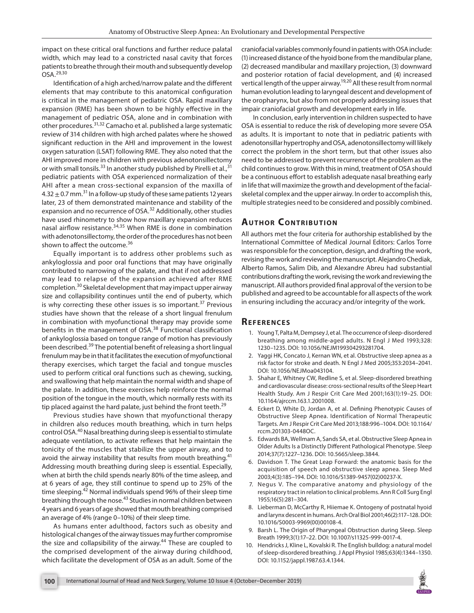impact on these critical oral functions and further reduce palatal width, which may lead to a constricted nasal cavity that forces patients to breathe through their mouth and subsequently develop  $OSA.^{29,30}$ 

Identification of a high arched/narrow palate and the different elements that may contribute to this anatomical configuration is critical in the management of pediatric OSA. Rapid maxillary expansion (RME) has been shown to be highly effective in the management of pediatric OSA, alone and in combination with other procedures.31,32 Camacho et al. published a large systematic review of 314 children with high arched palates where he showed significant reduction in the AHI and improvement in the lowest oxygen saturation (LSAT) following RME. They also noted that the AHI improved more in children with previous adenotonsillectomy or with small tonsils.<sup>33</sup> In another study published by Pirelli et al.,<sup>31</sup> pediatric patients with OSA experienced normalization of their AHI after a mean cross-sectional expansion of the maxilla of 4.32  $\pm$  0.7 mm.<sup>31</sup> In a follow-up study of these same patients 12 years later, 23 of them demonstrated maintenance and stability of the expansion and no recurrence of OSA.<sup>32</sup> Additionally, other studies have used rhinometry to show how maxillary expansion reduces nasal airflow resistance.34,35 When RME is done in combination with adenotonsillectomy, the order of the procedures has not been shown to affect the outcome.<sup>36</sup>

Equally important is to address other problems such as ankyloglossia and poor oral functions that may have originally contributed to narrowing of the palate, and that if not addressed may lead to relapse of the expansion achieved after RME completion.30 Skeletal development that may impact upper airway size and collapsibility continues until the end of puberty, which is why correcting these other issues is so important. $37$  Previous studies have shown that the release of a short lingual frenulum in combination with myofunctional therapy may provide some benefits in the management of OSA.38 Functional classification of ankyloglossia based on tongue range of motion has previously been described.<sup>39</sup> The potential benefit of releasing a short lingual frenulum may be in that it facilitates the execution of myofunctional therapy exercises, which target the facial and tongue muscles used to perform critical oral functions such as chewing, sucking, and swallowing that help maintain the normal width and shape of the palate. In addition, these exercises help reinforce the normal position of the tongue in the mouth, which normally rests with its tip placed against the hard palate, just behind the front teeth.<sup>29</sup>

Previous studies have shown that myofunctional therapy in children also reduces mouth breathing, which in turn helps control OSA.40 Nasal breathing during sleep is essential to stimulate adequate ventilation, to activate reflexes that help maintain the tonicity of the muscles that stabilize the upper airway, and to avoid the airway instability that results from mouth breathing. $41$ Addressing mouth breathing during sleep is essential. Especially, when at birth the child spends nearly 80% of the time asleep, and at 6 years of age, they still continue to spend up to 25% of the time sleeping.<sup>42</sup> Normal individuals spend 96% of their sleep time breathing through the nose.<sup>43</sup> Studies in normal children between 4 years and 6 years of age showed that mouth breathing comprised an average of 4% (range 0–10%) of their sleep time.

As humans enter adulthood, factors such as obesity and histological changes of the airway tissues may further compromise the size and collapsibility of the airway.<sup>44</sup> These are coupled to the comprised development of the airway during childhood, which facilitate the development of OSA as an adult. Some of the craniofacial variables commonly found in patients with OSA include: (1) increased distance of the hyoid bone from the mandibular plane, (2) decreased mandibular and maxillary projection, (3) downward and posterior rotation of facial development, and (4) increased vertical length of the upper airway.<sup>19,20</sup> All these result from normal human evolution leading to laryngeal descent and development of the oropharynx, but also from not properly addressing issues that impair craniofacial growth and development early in life.

In conclusion, early intervention in children suspected to have OSA is essential to reduce the risk of developing more severe OSA as adults. It is important to note that in pediatric patients with adenotonsillar hypertrophy and OSA, adenotonsillectomy will likely correct the problem in the short term, but that other issues also need to be addressed to prevent recurrence of the problem as the child continues to grow. With this in mind, treatment of OSA should be a continuous effort to establish adequate nasal breathing early in life that will maximize the growth and development of the facialskeletal complex and the upper airway. In order to accomplish this, multiple strategies need to be considered and possibly combined.

## **AUTHOR CONTRIBUTION**

All authors met the four criteria for authorship established by the International Committee of Medical Journal Editors: Carlos Torre was responsible for the conception, design, and drafting the work, revising the work and reviewing the manuscript. Alejandro Chediak, Alberto Ramos, Salim Dib, and Alexandre Abreu had substantial contributions drafting the work, revising the work and reviewing the manuscript. All authors provided final approval of the version to be published and agreed to be accountable for all aspects of the work in ensuring including the accuracy and/or integrity of the work.

#### **Re f e r e n c e s**

- 1. Young T, Palta M, Dempsey J, et al. The occurrence of sleep-disordered breathing among middle-aged adults. N Engl J Med 1993;328: 1230–1235. DOI: 10.1056/NEJM199304293281704.
- 2. Yaggi HK, Concato J, Kernan WN, et al. Obstructive sleep apnea as a risk factor for stroke and death. N Engl J Med 2005;353:2034–2041. DOI: 10.1056/NEJMoa043104.
- 3. Shahar E, Whitney CW, Redline S, et al. Sleep-disordered breathing and cardiovascular disease: cross-sectional results of the Sleep Heart Health Study. Am J Respir Crit Care Med 2001;163(1):19–25. DOI: 10.1164/ajrccm.163.1.2001008.
- 4. Eckert D, White D, Jordan A, et al. Defining Phenotypic Causes of Obstructive Sleep Apnea. Identification of Normal Therapeutic Targets. Am J Respir Crit Care Med 2013;188:996–1004. DOI: 10.1164/ rccm.201303-0448OC.
- 5. Edwards BA, Wellmam A, Sands SA, et al. Obstructive Sleep Apnea in Older Adults Is a Distinctly Different Pathological Phenotype. Sleep 2014;37(7):1227–1236. DOI: 10.5665/sleep.3844.
- 6. Davidson T. The Great Leap Forward: the anatomic basis for the acquisition of speech and obstructive sleep apnea. Sleep Med 2003;4(3):185–194. DOI: 10.1016/S1389-9457(02)00237-X.
- 7. Negus V. The comparative anatomy and physiology of the respiratory tract in relation to clinical problems. Ann R Coll Surg Engl 1955;16(5):281–304.
- 8. Lieberman D, McCarthy R, Hiiemae K. Ontogeny of postnatal hyoid and larynx descent in humans. Arch Oral Biol 2001;46(2):117–128. DOI: 10.1016/S0003-9969(00)00108-4.
- Barsh L. The Origin of Pharyngeal Obstruction during Sleep. Sleep Breath 1999;3(1):17–22. DOI: 10.1007/s11325-999-0017-4.
- Hendricks J, Kline L, Kovalski R. The English bulldog: a natural model of sleep-disordered breathing. J Appl Physiol 1985;63(4):1344–1350. DOI: 10.1152/jappl.1987.63.4.1344.